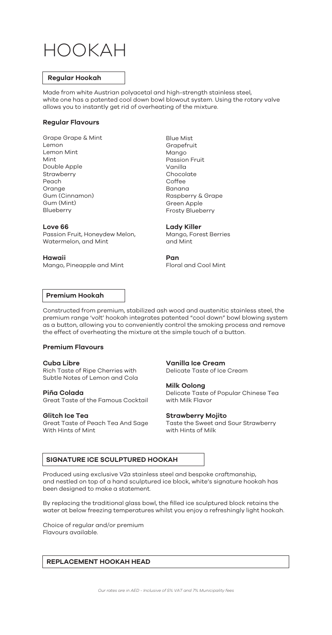# HOOKAH

#### **Regular Hookah**

Made from white Austrian polyacetal and high-strength stainless steel, white one has a patented cool down bowl blowout system. Using the rotary valve allows you to instantly get rid of overheating of the mixture.

#### **Regular Flavours**

Grape Grape & Mint Lemon Lemon Mint Mint Double Apple **Strawberry** Peach Orange Gum (Cinnamon) Gum (Mint) Blueberry

#### **Love 66**

Passion Fruit, Honeydew Melon, Watermelon, and Mint

#### **Hawaii**

Mango, Pineapple and Mint

Blue Mist Grapefruit Mango Passion Fruit Vanilla Chocolate Coffee Banana Raspberry & Grape Green Apple Frosty Blueberry

#### **Lady Killer**

Mango, Forest Berries and Mint

#### **Pan**

Floral and Cool Mint

## **Premium Hookah**

Constructed from premium, stabilized ash wood and austenitic stainless steel, the premium range 'volt' hookah integrates patented "cool down" bowl blowing system as a button, allowing you to conveniently control the smoking process and remove the effect of overheating the mixture at the simple touch of a button.

#### **Premium Flavours**

**Cuba Libre** Rich Taste of Ripe Cherries with Subtle Notes of Lemon and Cola

**Piña Colada** Great Taste of the Famous Cocktail

#### **Glitch Ice Tea**

Great Taste of Peach Tea And Sage With Hints of Mint

**Vanilla Ice Cream** Delicate Taste of Ice Cream

#### **Milk Oolong**

Delicate Taste of Popular Chinese Tea with Milk Flavor

#### **Strawberry Mojito**

Taste the Sweet and Sour Strawberry with Hints of Milk

# **SIGNATURE ICE SCULPTURED HOOKAH**

Produced using exclusive V2a stainless steel and bespoke craftmanship, and nestled on top of a hand sculptured ice block, white's signature hookah has been designed to make a statement.

By replacing the traditional glass bowl, the filled ice sculptured block retains the water at below freezing temperatures whilst you enjoy a refreshingly light hookah.

Choice of regular and/or premium Flavours available.

# **REPLACEMENT HOOKAH HEAD**